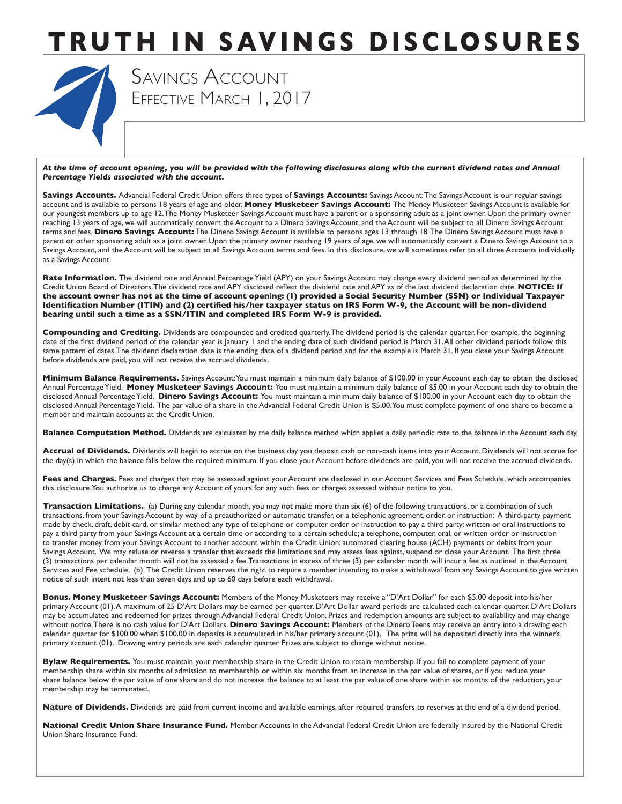

 EFFECTIVE MARCH 1, 2017 SAVINGS ACCOUNT

*At the time of account opening, you will be provided with the following disclosures along with the current dividend rates and Annual Percentage Yields associated with the account.* 

**Savings Accounts.** Advancial Federal Credit Union offers three types of **Savings Accounts:** Savings Account:The Savings Account is our regular savings account and is available to persons 18 years of age and older. **Money Musketeer Savings Account:** The Money Musketeer Savings Account is available for our youngest members up to age 12.The Money Musketeer Savings Account must have a parent or a sponsoring adult as a joint owner. Upon the primary owner reaching 13 years of age, we will automatically convert the Account to a Dinero Savings Account, and the Account will be subject to all Dinero Savings Account terms and fees. **Dinero Savings Account:** The Dinero Savings Account is available to persons ages 13 through 18.The Dinero Savings Account must have a parent or other sponsoring adult as a joint owner. Upon the primary owner reaching 19 years of age, we will automatically convert a Dinero Savings Account to a Savings Account, and the Account will be subject to all Savings Account terms and fees. In this disclosure, we will sometimes refer to all three Accounts individually as a Savings Account.

Rate Information. The dividend rate and Annual Percentage Yield (APY) on your Savings Account may change every dividend period as determined by the Credit Union Board of Directors.The dividend rate and APY disclosed reflect the dividend rate and APY as of the last dividend declaration date. **NOTICE: If the account owner has not at the time of account opening: (1) provided a Social Security Number (SSN) or Individual Taxpayer Identification Number (ITIN) and (2) certified his/her taxpayer status on IRS Form W-9, the Account will be non-dividend bearing until such a time as a SSN/ITIN and completed IRS Form W-9 is provided.**

**Compounding and Crediting.** Dividends are compounded and credited quarterly.The dividend period is the calendar quarter. For example, the beginning date of the first dividend period of the calendar year is January 1 and the ending date of such dividend period is March 31.All other dividend periods follow this same pattern of dates. The dividend declaration date is the ending date of a dividend period and for the example is March 31. If you close your Savings Account before dividends are paid, you will not receive the accrued dividends.

 Annual Percentage Yield. **Money Musketeer Savings Account:** You must maintain a minimum daily balance of \$5.00 in your Account each day to obtain the disclosed Annual Percentage Yield. **Dinero Savings Account:** You must maintain a minimum daily balance of \$100.00 in your Account each day to obtain the disclosed Annual Percentage Yield. The par value of a share in the Advancial Federal Credit Union is \$5.00.You must complete payment of one share to become a **Minimum Balance Requirements.** Savings Account:You must maintain a minimum daily balance of \$100.00 in your Account each day to obtain the disclosed member and maintain accounts at the Credit Union.

**Balance Computation Method.** Dividends are calculated by the daily balance method which applies a daily periodic rate to the balance in the Account each day.

**Accrual of Dividends.** Dividends will begin to accrue on the business day you deposit cash or non-cash items into your Account. Dividends will not accrue for the day(s) in which the balance falls below the required minimum. If you close your Account before dividends are paid, you will not receive the accrued dividends.

Fees and Charges. Fees and charges that may be assessed against your Account are disclosed in our Account Services and Fees Schedule, which accompanies this disclosure.You authorize us to charge any Account of yours for any such fees or charges assessed without notice to you.

 transactions, from your Savings Account by way of a preauthorized or automatic transfer, or a telephonic agreement, order, or instruction: A third-party payment Savings Account. We may refuse or reverse a transfer that exceeds the limitations and may assess fees against, suspend or close your Account. The first three **Transaction Limitations.** (a) During any calendar month, you may not make more than six (6) of the following transactions, or a combination of such made by check, draft, debit card, or similar method; any type of telephone or computer order or instruction to pay a third party; written or oral instructions to pay a third party from your Savings Account at a certain time or according to a certain schedule; a telephone, computer, oral, or written order or instruction to transfer money from your Savings Account to another account within the Credit Union; automated clearing house (ACH) payments or debits from your (3) transactions per calendar month will not be assessed a fee.Transactions in excess of three (3) per calendar month will incur a fee as outlined in the Account Services and Fee schedule. (b) The Credit Union reserves the right to require a member intending to make a withdrawal from any Savings Account to give written notice of such intent not less than seven days and up to 60 days before each withdrawal.

 calendar quarter for \$100.00 when \$100.00 in deposits is accumulated in his/her primary account (01). The prize will be deposited directly into the winner's **Bonus. Money Musketeer Savings Account:** Members of the Money Musketeers may receive a "D'Art Dollar" for each \$5.00 deposit into his/her primary Account (01).A maximum of 25 D'Art Dollars may be earned per quarter. D'Art Dollar award periods are calculated each calendar quarter. D'Art Dollars may be accumulated and redeemed for prizes through Advancial Federal Credit Union. Prizes and redemption amounts are subject to availability and may change without notice.There is no cash value for D'Art Dollars. **Dinero Savings Account:** Members of the Dinero Teens may receive an entry into a drawing each primary account (01). Drawing entry periods are each calendar quarter. Prizes are subject to change without notice.

Bylaw Requirements. You must maintain your membership share in the Credit Union to retain membership. If you fail to complete payment of your membership share within six months of admission to membership or within six months from an increase in the par value of shares, or if you reduce your share balance below the par value of one share and do not increase the balance to at least the par value of one share within six months of the reduction, your membership may be terminated.

Nature of Dividends. Dividends are paid from current income and available earnings, after required transfers to reserves at the end of a dividend period.

**National Credit Union Share Insurance Fund.** Member Accounts in the Advancial Federal Credit Union are federally insured by the National Credit Union Share Insurance Fund.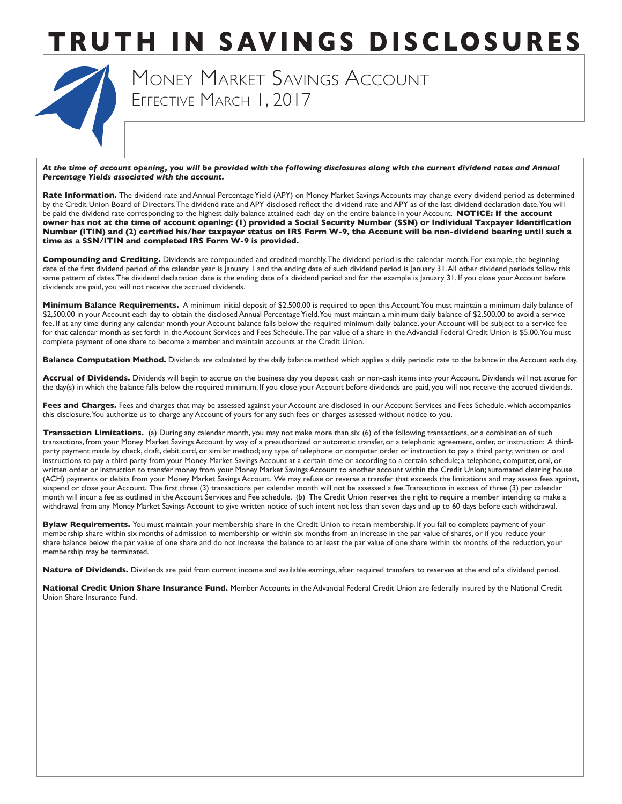

 MONEY MARKET SAVINGS ACCOUNT EFFECTIVE MARCH 1, 2017

*At the time of account opening, you will be provided with the following disclosures along with the current dividend rates and Annual Percentage Yields associated with the account.* 

 be paid the dividend rate corresponding to the highest daily balance attained each day on the entire balance in your Account. **NOTICE: If the account**  Rate Information. The dividend rate and Annual Percentage Yield (APY) on Money Market Savings Accounts may change every dividend period as determined by the Credit Union Board of Directors.The dividend rate and APY disclosed reflect the dividend rate and APY as of the last dividend declaration date.You will **owner has not at the time of account opening: (1) provided a Social Security Number (SSN) or Individual Taxpayer Identification Number (ITIN) and (2) certified his/her taxpayer status on IRS Form W-9, the Account will be non-dividend bearing until such a time as a SSN/ITIN and completed IRS Form W-9 is provided.**

**Compounding and Crediting.** Dividends are compounded and credited monthly.The dividend period is the calendar month. For example, the beginning date of the first dividend period of the calendar year is January 1 and the ending date of such dividend period is January 31.All other dividend periods follow this same pattern of dates. The dividend declaration date is the ending date of a dividend period and for the example is January 31. If you close your Account before dividends are paid, you will not receive the accrued dividends.

**Minimum Balance Requirements.** A minimum initial deposit of \$2,500.00 is required to open this Account.You must maintain a minimum daily balance of \$2,500.00 in your Account each day to obtain the disclosed Annual Percentage Yield.You must maintain a minimum daily balance of \$2,500.00 to avoid a service fee. If at any time during any calendar month your Account balance falls below the required minimum daily balance, your Account will be subject to a service fee for that calendar month as set forth in the Account Services and Fees Schedule.The par value of a share in the Advancial Federal Credit Union is \$5.00.You must complete payment of one share to become a member and maintain accounts at the Credit Union.

**Balance Computation Method.** Dividends are calculated by the daily balance method which applies a daily periodic rate to the balance in the Account each day.

**Accrual of Dividends.** Dividends will begin to accrue on the business day you deposit cash or non-cash items into your Account. Dividends will not accrue for the day(s) in which the balance falls below the required minimum. If you close your Account before dividends are paid, you will not receive the accrued dividends.

Fees and Charges. Fees and charges that may be assessed against your Account are disclosed in our Account Services and Fees Schedule, which accompanies this disclosure.You authorize us to charge any Account of yours for any such fees or charges assessed without notice to you.

 transactions, from your Money Market Savings Account by way of a preauthorized or automatic transfer, or a telephonic agreement, order, or instruction: A third- (ACH) payments or debits from your Money Market Savings Account. We may refuse or reverse a transfer that exceeds the limitations and may assess fees against, suspend or close your Account. The first three (3) transactions per calendar month will not be assessed a fee.Transactions in excess of three (3) per calendar **Transaction Limitations.** (a) During any calendar month, you may not make more than six (6) of the following transactions, or a combination of such party payment made by check, draft, debit card, or similar method; any type of telephone or computer order or instruction to pay a third party; written or oral instructions to pay a third party from your Money Market Savings Account at a certain time or according to a certain schedule; a telephone, computer, oral, or written order or instruction to transfer money from your Money Market Savings Account to another account within the Credit Union; automated clearing house month will incur a fee as outlined in the Account Services and Fee schedule. (b) The Credit Union reserves the right to require a member intending to make a withdrawal from any Money Market Savings Account to give written notice of such intent not less than seven days and up to 60 days before each withdrawal.

Bylaw Requirements. You must maintain your membership share in the Credit Union to retain membership. If you fail to complete payment of your membership share within six months of admission to membership or within six months from an increase in the par value of shares, or if you reduce your share balance below the par value of one share and do not increase the balance to at least the par value of one share within six months of the reduction, your membership may be terminated.

**Nature of Dividends.** Dividends are paid from current income and available earnings, after required transfers to reserves at the end of a dividend period.

**National Credit Union Share Insurance Fund.** Member Accounts in the Advancial Federal Credit Union are federally insured by the National Credit Union Share Insurance Fund.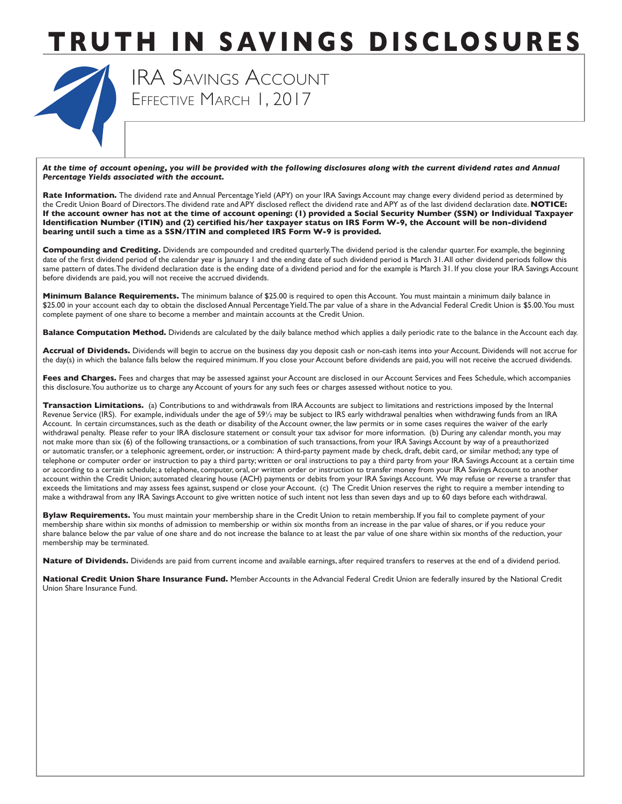

 IRA SAVINGS ACCOUNT EFFECTIVE MARCH 1, 2017

*At the time of account opening, you will be provided with the following disclosures along with the current dividend rates and Annual Percentage Yields associated with the account.* 

Rate Information. The dividend rate and Annual Percentage Yield (APY) on your IRA Savings Account may change every dividend period as determined by the Credit Union Board of Directors.The dividend rate and APY disclosed reflect the dividend rate and APY as of the last dividend declaration date. **NOTICE: If the account owner has not at the time of account opening: (1) provided a Social Security Number (SSN) or Individual Taxpayer Identification Number (ITIN) and (2) certified his/her taxpayer status on IRS Form W-9, the Account will be non-dividend bearing until such a time as a SSN/ITIN and completed IRS Form W-9 is provided.**

**Compounding and Crediting.** Dividends are compounded and credited quarterly.The dividend period is the calendar quarter. For example, the beginning date of the first dividend period of the calendar year is January 1 and the ending date of such dividend period is March 31.All other dividend periods follow this same pattern of dates. The dividend declaration date is the ending date of a dividend period and for the example is March 31. If you close your IRA Savings Account before dividends are paid, you will not receive the accrued dividends.

 **Minimum Balance Requirements.** The minimum balance of \$25.00 is required to open this Account. You must maintain a minimum daily balance in \$25.00 in your account each day to obtain the disclosed Annual Percentage Yield. The par value of a share in the Advancial Federal Credit Union is \$5.00. You must complete payment of one share to become a member and maintain accounts at the Credit Union.

**Balance Computation Method.** Dividends are calculated by the daily balance method which applies a daily periodic rate to the balance in the Account each day.

**Accrual of Dividends.** Dividends will begin to accrue on the business day you deposit cash or non-cash items into your Account. Dividends will not accrue for the day(s) in which the balance falls below the required minimum. If you close your Account before dividends are paid, you will not receive the accrued dividends.

Fees and Charges. Fees and charges that may be assessed against your Account are disclosed in our Account Services and Fees Schedule, which accompanies this disclosure.You authorize us to charge any Account of yours for any such fees or charges assessed without notice to you.

 or automatic transfer, or a telephonic agreement, order, or instruction: A third-party payment made by check, draft, debit card, or similar method; any type of account within the Credit Union; automated clearing house (ACH) payments or debits from your IRA Savings Account. We may refuse or reverse a transfer that **Transaction Limitations.** (a) Contributions to and withdrawals from IRA Accounts are subject to limitations and restrictions imposed by the Internal Revenue Service (IRS). For example, individuals under the age of 59½ may be subject to IRS early withdrawal penalties when withdrawing funds from an IRA Account. In certain circumstances, such as the death or disability of the Account owner, the law permits or in some cases requires the waiver of the early withdrawal penalty. Please refer to your IRA disclosure statement or consult your tax advisor for more information. (b) During any calendar month, you may not make more than six (6) of the following transactions, or a combination of such transactions, from your IRA Savings Account by way of a preauthorized telephone or computer order or instruction to pay a third party; written or oral instructions to pay a third party from your IRA Savings Account at a certain time or according to a certain schedule; a telephone, computer, oral, or written order or instruction to transfer money from your IRA Savings Account to another exceeds the limitations and may assess fees against, suspend or close your Account. (c) The Credit Union reserves the right to require a member intending to make a withdrawal from any IRA Savings Account to give written notice of such intent not less than seven days and up to 60 days before each withdrawal.

Bylaw Requirements. You must maintain your membership share in the Credit Union to retain membership. If you fail to complete payment of your membership share within six months of admission to membership or within six months from an increase in the par value of shares, or if you reduce your share balance below the par value of one share and do not increase the balance to at least the par value of one share within six months of the reduction, your membership may be terminated.

**Nature of Dividends.** Dividends are paid from current income and available earnings, after required transfers to reserves at the end of a dividend period.

**National Credit Union Share Insurance Fund.** Member Accounts in the Advancial Federal Credit Union are federally insured by the National Credit Union Share Insurance Fund.